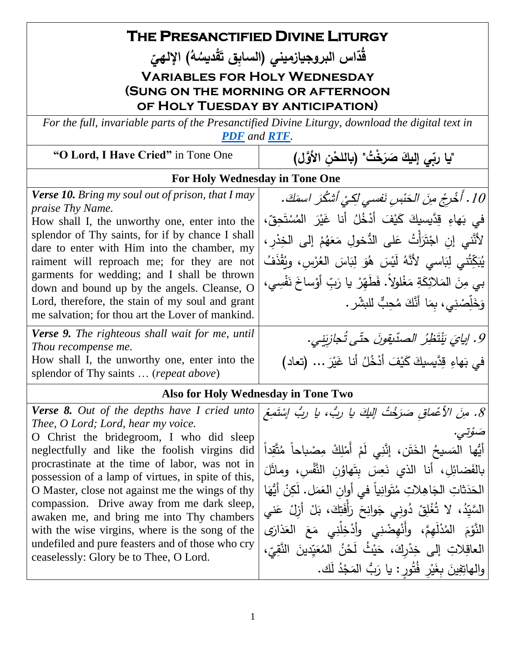|                                                                                                                                                                                                                                                                                                                                                                                                                                              | THE PRESANCTIFIED DIVINE LITURGY                                                                                                                                                                                                                                                                                                                                    |  |
|----------------------------------------------------------------------------------------------------------------------------------------------------------------------------------------------------------------------------------------------------------------------------------------------------------------------------------------------------------------------------------------------------------------------------------------------|---------------------------------------------------------------------------------------------------------------------------------------------------------------------------------------------------------------------------------------------------------------------------------------------------------------------------------------------------------------------|--|
| قَدّاس البروجيازميني (السابق تَقْديسُهُ) الإلهيّ                                                                                                                                                                                                                                                                                                                                                                                             |                                                                                                                                                                                                                                                                                                                                                                     |  |
|                                                                                                                                                                                                                                                                                                                                                                                                                                              | <b>VARIABLES FOR HOLY WEDNESDAY</b><br>(SUNG ON THE MORNING OR AFTERNOON                                                                                                                                                                                                                                                                                            |  |
|                                                                                                                                                                                                                                                                                                                                                                                                                                              | OF HOLY TUESDAY BY ANTICIPATION)                                                                                                                                                                                                                                                                                                                                    |  |
|                                                                                                                                                                                                                                                                                                                                                                                                                                              | For the full, invariable parts of the Presanctified Divine Liturgy, download the digital text in<br><b>PDF</b> and <b>RTF</b> .                                                                                                                                                                                                                                     |  |
| "O Lord, I Have Cried" in Tone One                                                                                                                                                                                                                                                                                                                                                                                                           | "يا ربِّي إليكَ صَرَخْتُ" (باللحْن الأوَّل)                                                                                                                                                                                                                                                                                                                         |  |
| <b>For Holy Wednesday in Tone One</b>                                                                                                                                                                                                                                                                                                                                                                                                        |                                                                                                                                                                                                                                                                                                                                                                     |  |
| <b>Verse 10.</b> Bring my soul out of prison, that I may<br>praise Thy Name.<br>How shall I, the unworthy one, enter into the                                                                                                                                                                                                                                                                                                                | 10 . أُخْرِجْ مِنَ الْحَنْسِ نَفْسِي لَكِيُّ أَشْكُرَ اسْمَكَ .<br>في بَهاءِ قِدَّيسيكَ كَيْفَ أَدْخُلُ أَنا غَيْرَ المُسْتَحِقّ،                                                                                                                                                                                                                                   |  |
| splendor of Thy saints, for if by chance I shall<br>dare to enter with Him into the chamber, my<br>raiment will reproach me; for they are not                                                                                                                                                                                                                                                                                                | لأَنَّني إن اجْتَرَأَتُ عَلى الدُّخولِ مَعَهُمْ إلى الخِدْرِ ،<br>يُبَكِّتُنى لِبَاسى لأَنَّهُ لَيْسَ هُوَ لِبَاسَ العُرْسِ، ويُقْذَفُ                                                                                                                                                                                                                              |  |
| garments for wedding; and I shall be thrown<br>down and bound up by the angels. Cleanse, O<br>Lord, therefore, the stain of my soul and grant                                                                                                                                                                                                                                                                                                | بي مِنَ المَلائِكَةِ مَغْلُولاً. فَطَهِّرْ يا رَبِّ أَوْساخَ نَفْسِي،<br> وَخَلِّصْنِي، بِمَا أَنَّكَ مُحِبٌّ للبشّر .                                                                                                                                                                                                                                              |  |
| me salvation; for thou art the Lover of mankind.                                                                                                                                                                                                                                                                                                                                                                                             |                                                                                                                                                                                                                                                                                                                                                                     |  |
| <b>Verse 9.</b> The righteous shall wait for me, until<br>Thou recompense me.                                                                                                                                                                                                                                                                                                                                                                | 9. إيايَ يَنْتَظِرُ الصدّيقونَ حتّى تُجازِيَنِي.                                                                                                                                                                                                                                                                                                                    |  |
| How shall I, the unworthy one, enter into the<br>splendor of Thy saints  ( <i>repeat above</i> )                                                                                                                                                                                                                                                                                                                                             | في بَهاءِ قِدَّيسيكَ كَيْفَ أَدْخُلُ أَنا غَيْرَ … (تعاد)                                                                                                                                                                                                                                                                                                           |  |
| Also for Holy Wednesday in Tone Two                                                                                                                                                                                                                                                                                                                                                                                                          |                                                                                                                                                                                                                                                                                                                                                                     |  |
| <b>Verse 8.</b> Out of the depths have I cried unto<br>Thee, O Lord; Lord, hear my voice.<br>O Christ the bridegroom, I who did sleep<br>neglectfully and like the foolish virgins did<br>procrastinate at the time of labor, was not in<br>possession of a lamp of virtues, in spite of this,<br>O Master, close not against me the wings of thy<br>compassion. Drive away from me dark sleep,<br>awaken me, and bring me into Thy chambers | 8. مِنَ الأعْماقِ صَرَخْتُ إِليكَ يا رِبُ، يا رِبُ إِسْتَمِعْ<br>ضۇتى.<br>أَيُّها المَسيحُ الخَتَنِ، إنَّنِي لَمْ أَمْلِكْ مِصْباحاً مُتَّقِداً<br>بالفَضائِلِ، أنا الذي نَعِسَ بِتَهاوُنِ النَّفْسِ، وماثَلَ<br>الْحَدَثاتِ الْجَاهِلاتِ مُتَوانِياً في أُوانِ الْعَمَلِ. لَكِنْ أَيُّهَا<br>السَّيِّدُ، لا تُغْلِقْ دُونِي جَوانِحَ رَأَفَتِكَ، بَلْ أَرْلْ عَنِي |  |
| with the wise virgins, where is the song of the<br>undefiled and pure feasters and of those who cry<br>ceaselessly: Glory be to Thee, O Lord.                                                                                                                                                                                                                                                                                                | النَّوْمَ المُذْلَهِمَّ، وأَنْهِضْنِي وأَدْخِلْنِي مَعَ العَذارَى<br>العاقِلاتِ إلى خِدْرِكَ، حَيْثُ لَحْنُ المُعَيّدينَ النَّقِيّ،<br>والهاتِفِينَ بِغَيْرٍ فُتُورٍ : يا رَبُّ المَجْدُ لَك.                                                                                                                                                                       |  |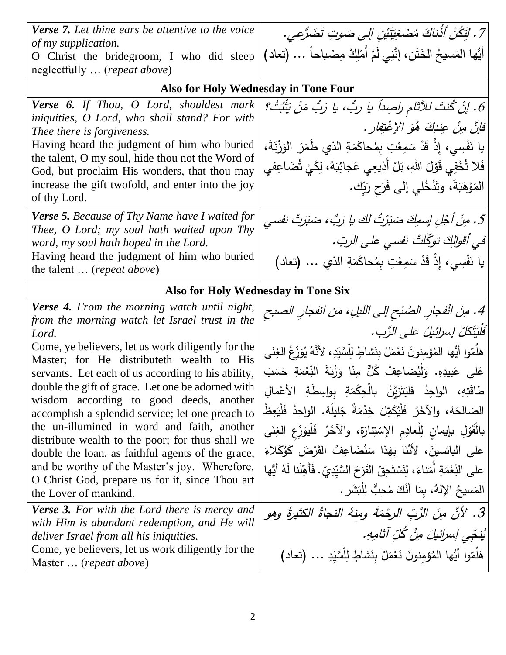*Verse 7. Let thine ears be attentive to the voice of my supplication.*

O Christ the bridegroom, I who did sleep neglectfully … (*repeat above*)

7 . لَتِّكُنُّ أَذْنَاكَ مُصْد َ أذُناك ْلِتَكُنُ أَذَناكَ مُصْغِدَ ي َ ت ْنَيْنِ إِلَى حَ إلى صَوتِ تَ وتِ تَضَرُّع*ي*. أَيُّها المَسيحُ الخَتَن، إنَّنِي لَمْ أَمْلِكْ مِصْباحاً … (تعاد) ا<br>ا ْ

| Also for Holy Wednesday in Tone Four                                                                                                                                                                                                                                                                                                                                                                                                                                                                                                                                                                                                                                                                      |                                                                                                                                                                                                                                                                                                                                                                                                                                                                                                                                                                                                                                                                                                                                            |
|-----------------------------------------------------------------------------------------------------------------------------------------------------------------------------------------------------------------------------------------------------------------------------------------------------------------------------------------------------------------------------------------------------------------------------------------------------------------------------------------------------------------------------------------------------------------------------------------------------------------------------------------------------------------------------------------------------------|--------------------------------------------------------------------------------------------------------------------------------------------------------------------------------------------------------------------------------------------------------------------------------------------------------------------------------------------------------------------------------------------------------------------------------------------------------------------------------------------------------------------------------------------------------------------------------------------------------------------------------------------------------------------------------------------------------------------------------------------|
| <b>Verse 6.</b> If Thou, O Lord, shouldest mark<br>iniquities, O Lord, who shall stand? For with<br>Thee there is forgiveness.<br>Having heard the judgment of him who buried<br>the talent, O my soul, hide thou not the Word of<br>God, but proclaim His wonders, that thou may<br>increase the gift twofold, and enter into the joy<br>of thy Lord.                                                                                                                                                                                                                                                                                                                                                    | 6. إِنْ كُنتَ للآثامِ راصِداً يا رِبُ، يا رَبُّ مَنْ يَثْبُتُ؟<br>فَانَّ مِنْ عِندِكَ هُوَ الإغْتِفارِ.<br>يا نَفْسِي، إِذْ قَدْ سَمِعْتِ بِمُحاكَمَةِ الذي طَمَرَ  الوَزْنَةَ،<br>فَلا تُخْفِي قَوْلَ اللهِ، بَلْ أُذِيعِي عَجائِبَهُ، لِكَيْ تُضَاعِفِي<br>ِ المَوْهَبَةَ، وتَذْخُلي إِلى فَرَحٍ رَبِّك.                                                                                                                                                                                                                                                                                                                                                                                                                                 |
| <b>Verse 5.</b> Because of Thy Name have I waited for<br>Thee, O Lord; my soul hath waited upon Thy<br>word, my soul hath hoped in the Lord.<br>Having heard the judgment of him who buried<br>the talent  ( <i>repeat above</i> )                                                                                                                                                                                                                                                                                                                                                                                                                                                                        | 5. مِنْ أَجْلِ إِسمِكَ صَبَرْتُ لَكَ يا رَبَّ، صَبَرَتْ نفسى<br>في أقوالِكَ توكِّلَتْ نفسي علي الربّ.<br>يا نَفْسِي، إِذْ قَدْ سَمِعْتِ بِمُحاكَمَةِ الذي … (تعاد)                                                                                                                                                                                                                                                                                                                                                                                                                                                                                                                                                                         |
| Also for Holy Wednesday in Tone Six                                                                                                                                                                                                                                                                                                                                                                                                                                                                                                                                                                                                                                                                       |                                                                                                                                                                                                                                                                                                                                                                                                                                                                                                                                                                                                                                                                                                                                            |
| Verse 4. From the morning watch until night,<br>from the morning watch let Israel trust in the<br>Lord.<br>Come, ye believers, let us work diligently for the<br>Master; for He distributeth wealth to His<br>servants. Let each of us according to his ability,<br>double the gift of grace. Let one be adorned with<br>wisdom according to good deeds, another<br>accomplish a splendid service; let one preach to<br>the un-illumined in word and faith, another<br>distribute wealth to the poor; for thus shall we<br>double the loan, as faithful agents of the grace,<br>and be worthy of the Master's joy. Wherefore,<br>O Christ God, prepare us for it, since Thou art<br>the Lover of mankind. | 4 . مِنَ انْفجارِ الصُنْحِ إلى الليلِ، من انفجارِ الصبح<br>أَفَلَيَتَكَلْ إِسْرَائِيلُ عَلَى الرَّبِ.<br>هَلُمّوا أَيُّها المُؤمِنونَ نَعْمَلْ بِنَشاطٍ لِلْسَّيّدِ، لأَنَّهُ يُوَزّعُ الغِنَى<br>عَلى عَبِيدِهِ. وَلْيُضاعِفْ كُلٌّ مِنَّا وَزْنَةَ النِّعْمَةِ حَسَبَ<br>طَاقَتِهِ، الواحِدُ فليَتَزِبَّنْ بِالْحِكْمَةِ بواسِطَةِ الأَعْمالِ<br>الصَالحَة، والآخَرُ  فَلْيُكَمِّلْ  خِدْمَةً  جَليلَة.  الواحِدُ  فَلْيَعِظْ<br>بالْقَوْلِ بإيمانِ لِلْعادِمِ الإِسْتِنارَةِ، والآخَرُ فَلْيوَزِّعِ الغِنَى<br>  على البائسينَ، لأَنَّنَا بهَذا سَنُضَاعِفُ القَرْضَ كَوُكَلاءَ<br>  على النِّعْمَةِ أَمَناءَ ، لِنَسْتَحِقَّ الفَرَحَ السَّيّدِيِّ . فَأَهِّلْنا لَهُ أَيُّها<br>  المَسيحُ الإِلهُ، بمَا أَنَّكَ مُحِبٌّ لِلْبَشَرِ . |
| <b>Verse 3.</b> For with the Lord there is mercy and<br>with Him is abundant redemption, and He will<br>deliver Israel from all his iniquities.<br>Come, ye believers, let us work diligently for the<br>Master  ( <i>repeat above</i> )                                                                                                                                                                                                                                                                                                                                                                                                                                                                  | 3. لأنَّ مِنَ الرَّبِّ الرحْمَةَ ومِنهُ النجاةُ الكثيرةُ وهو<br>يُنجِّى إسرائيلَ مِنْ كُلِّ آثامِهِ.<br>هَلُمّوا أَيُّها المُؤمنونَ نَعْمَلْ بِنَشاطٍ لِلْسَّيِّدِ  (تعاد)                                                                                                                                                                                                                                                                                                                                                                                                                                                                                                                                                                 |

## 2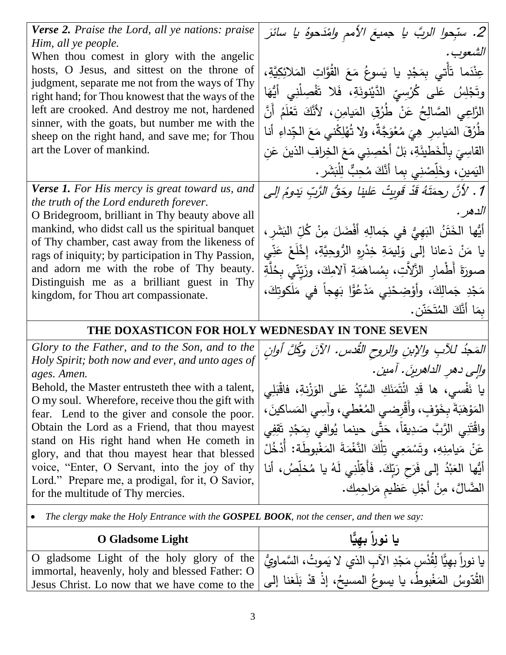| <b>Verse 2.</b> Praise the Lord, all ye nations: praise<br>Him, all ye people.<br>When thou comest in glory with the angelic<br>hosts, O Jesus, and sittest on the throne of<br>judgment, separate me not from the ways of Thy<br>right hand; for Thou knowest that the ways of the<br>left are crooked. And destroy me not, hardened<br>sinner, with the goats, but number me with the<br>sheep on the right hand, and save me; for Thou<br>art the Lover of mankind.<br><b>Verse 1.</b> For His mercy is great toward us, and<br>the truth of the Lord endureth forever.<br>O Bridegroom, brilliant in Thy beauty above all<br>mankind, who didst call us the spiritual banquet<br>of Thy chamber, cast away from the likeness of<br>rags of iniquity; by participation in Thy Passion,<br>and adorn me with the robe of Thy beauty.<br>Distinguish me as a brilliant guest in Thy<br>kingdom, for Thou art compassionate. | 2. سبِّحوا الربَّ يا جميعَ الأمم ولمْدَحوهُ يا سائرَ<br> الشعوب.<br>عِنْدَما تَأْتـى بِمَجْدٍ يا يَسوعُ مَعَ القُوَّاتِ المَلائِكِيَّةِ،<br>وتَجْلِسُ عَلى كُرْسِيِّ الدَّيْنونَةِ، فَلا تَفْصِلْنِي أَيُّهَا<br>الرَّاعِي الصَّالِحُ عَنْ طُرُقِ المَيامِنِ، لأَنَّكَ تَعْلَمُ أَنَّ<br>طُرُقَ المَياسِرِ هِيَ مُعْوَجَّةٌ، ولا تُهْلِكْني مَعَ الْجِّداءِ أَنا<br>القاسِيَ بِالْخَطْيِئَةِ، بَلْ أَحْصِنِي مَعَ الْخِرافِ الذينَ عَنِ<br>اليَمينِ، وخَلِّصْنِي بِما أَنَّكَ مُحِبٌّ لِلْبَشَرِ .<br>  1 . لأنَّ رحمَتَهُ قَدْ قَوِيتُ عَلينا وحَقَّ الرَّبِّ يَدومُ إلى<br>الدهر .<br>أَيُّها الخَتَنُ البَهِيُّ في جَمالِهِ أَفْضَلَ مِنْ كُلِّ البَشَرِ ،<br>يا مَنْ دَعانا إلى وَلِيمَةِ خِدْرِهِ الرُّوحِيَّةِ، إِخْلَعْ عَذِّي<br>صورَةَ أَطْمارِ الزَّلاَّتِ، بِمُساهَمَةِ الامِكَ، وزَيِّنِّي بِخُلَّةِ<br>مَجْدِ جَمالِكَ، وأَوْضِحْنِي مَدْعُوًّا بَهِجاً في مَلَكوتِكَ، |
|------------------------------------------------------------------------------------------------------------------------------------------------------------------------------------------------------------------------------------------------------------------------------------------------------------------------------------------------------------------------------------------------------------------------------------------------------------------------------------------------------------------------------------------------------------------------------------------------------------------------------------------------------------------------------------------------------------------------------------------------------------------------------------------------------------------------------------------------------------------------------------------------------------------------------|-------------------------------------------------------------------------------------------------------------------------------------------------------------------------------------------------------------------------------------------------------------------------------------------------------------------------------------------------------------------------------------------------------------------------------------------------------------------------------------------------------------------------------------------------------------------------------------------------------------------------------------------------------------------------------------------------------------------------------------------------------------------------------------------------------------------------------------------------------------------------------------|
|                                                                                                                                                                                                                                                                                                                                                                                                                                                                                                                                                                                                                                                                                                                                                                                                                                                                                                                              | بِمَا أَنَّكَ الْمُتَحَنَّنِ.                                                                                                                                                                                                                                                                                                                                                                                                                                                                                                                                                                                                                                                                                                                                                                                                                                                       |
|                                                                                                                                                                                                                                                                                                                                                                                                                                                                                                                                                                                                                                                                                                                                                                                                                                                                                                                              |                                                                                                                                                                                                                                                                                                                                                                                                                                                                                                                                                                                                                                                                                                                                                                                                                                                                                     |
| THE DOXASTICON FOR HOLY WEDNESDAY IN TONE SEVEN                                                                                                                                                                                                                                                                                                                                                                                                                                                                                                                                                                                                                                                                                                                                                                                                                                                                              |                                                                                                                                                                                                                                                                                                                                                                                                                                                                                                                                                                                                                                                                                                                                                                                                                                                                                     |
| Glory to the Father, and to the Son, and to the<br>Holy Spirit; both now and ever, and unto ages of<br>ages. Amen.<br>Behold, the Master entrusteth thee with a talent,<br>O my soul. Wherefore, receive thou the gift with<br>fear. Lend to the giver and console the poor.<br>Obtain the Lord as a Friend, that thou mayest<br>stand on His right hand when He cometh in<br>glory, and that thou may est hear that blessed<br>voice, "Enter, O Servant, into the joy of thy<br>Lord." Prepare me, a prodigal, for it, O Savior,<br>for the multitude of Thy mercies.                                                                                                                                                                                                                                                                                                                                                       | المَجْدُ للآبِ والإبنِ والروح القُدس. الآنَ وكُلَّ أوانِ<br> والي دهر الداهرينَ . آمين .<br>يا نَفْسى، ها قَدِ ائْتَمَنَكِ السَّيّدُ عَلى الوَزْنةِ، فاقْبَلِي<br>المَوْهَبَةَ بِخَوْفٍ، وأَقْرِضي المُعْطي، وآسِي المَساكينَ،<br>واقْتَنِي الرَّبَّ صَدِيقاً، حَتَّى حينما يُوافى بِمَجْدٍ تَقِفِي<br>عَنْ مَيامِنِهِ، وتَسْمَعِي تِلْكَ النَّغْمَةَ المَغْبوطَة: أَدْخُلْ<br>أَيُّها العَبْدُ إلى فَرَحٍ رَبِّكَ. فَأَهِّلْنِي لَهُ يا مُخلِّصُ، أنا<br>الضَّالَّ، مِنْ أَجْلِ عَظيمِ مَراحِمِك.                                                                                                                                                                                                                                                                                                                                                                                  |
| The clergy make the Holy Entrance with the GOSPEL BOOK, not the censer, and then we say:                                                                                                                                                                                                                                                                                                                                                                                                                                                                                                                                                                                                                                                                                                                                                                                                                                     |                                                                                                                                                                                                                                                                                                                                                                                                                                                                                                                                                                                                                                                                                                                                                                                                                                                                                     |

| <b>O</b> Gladsome Light                                                                                                                                                                                                                                                                    | يا نوراً بهيًّا |
|--------------------------------------------------------------------------------------------------------------------------------------------------------------------------------------------------------------------------------------------------------------------------------------------|-----------------|
| يا نوراً بهيًّا لِقُدْس مَجْدِ الآبِ الذي لا يَموتُ، السَّماويُّ   O gladsome Light of the holy glory of the<br>immortal, heavenly, holy and blessed Father: O $\vert$<br>اللَّقُدُوسُ المَغْبُوطُ، يا يسوعُ المسيحُ، إذْ قدْ بَلَغْنا إلى   Jesus Christ. Lo now that we have come to the |                 |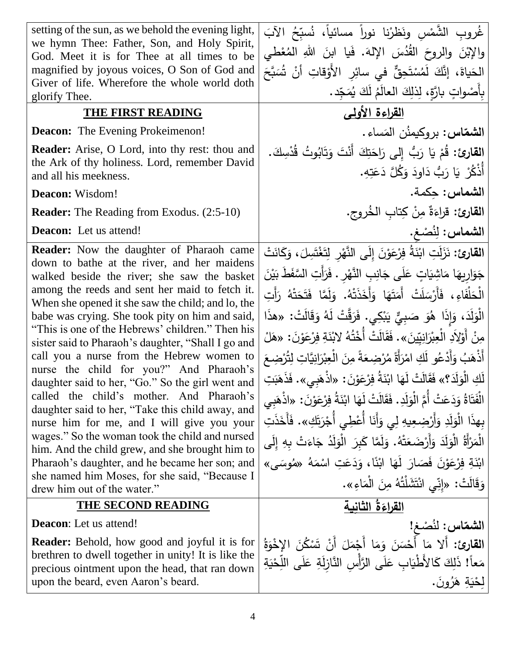| غُروبِ الشَّمْسِ ونَظرْنا نوراً مسائياً، نُسبَّحُ الآبَ<br>setting of the sun, as we behold the evening light,<br>we hymn Thee: Father, Son, and Holy Spirit,<br>والإِبْنَ والروحَ القُدُسَ الإِلهَ. فَيا ابنَ اللهِ المُعْطى<br>God. Meet it is for Thee at all times to be<br>الْحَياةَ، إِنَّكَ لَمُسْتَحِقٌّ في سائِرِ الأُوْقاتِ أَنْ شُبَبَّحَ<br>magnified by joyous voices, O Son of God and<br>Giver of life. Wherefore the whole world doth<br>بِأَصْواتٍ بارَّةٍ، لِذلِكَ العالَمُ لَكَ يُمَجِّد.<br>glorify Thee.<br>القراءة الأولى<br><b>THE FIRST READING</b><br>الشقاس: بروكيمنُن المَساء.<br><b>Deacon:</b> The Evening Prokeimenon!<br><b>Reader:</b> Arise, O Lord, into thy rest: thou and<br>ا <b>لقارئ:</b> قُمْ يَا رَبُّ إِلى رَاحَتِكَ أَنْتَ وَتَابُوتُ قُدْسِكَ.<br>the Ark of thy holiness. Lord, remember David<br>أَذْكُرْ ۖ يَا رَبُّ دَاوِدَ وَكُلَّ دَعَتِهِ.<br>and all his meekness.<br>الشماس: حكمة.<br>Deacon: Wisdom!<br>القارئ: قراءَةٌ مِنْ كِتابِ الخُروجِ.<br><b>Reader:</b> The Reading from Exodus. (2:5-10)<br>الشماس: لِنُصْغ.<br><b>Deacon:</b> Let us attend!<br><b>Reader:</b> Now the daughter of Pharaoh came<br>القارئ: نَزَلَتِ ابْنَةُ فِرْعَوْنَ إِلَى النَّهْرِ لِتَغْتَسِلَ، وَكَانَتْ<br>down to bathe at the river, and her maidens<br>جَوَارِيهَا مَاشِيَاتٍ عَلَى جَانِبِ النَّهْرِ . فَرَأَتِ السَّفَطَ بَيْنَ<br>walked beside the river; she saw the basket<br>among the reeds and sent her maid to fetch it.<br>الْحَلْفَاءِ، فَأَرْسَلَتْ أَمَتَهَا وَأَخَذَتْهُ. وَلَمَّا فَتَحَتْهُ رَأَتِ<br>When she opened it she saw the child; and lo, the<br>الْوَلَدَ، وَإِذَا هُوَ صَبِيٍّ يَبْكِي. فَرَقَّتْ لَهُ وَقَالَتْ: «هذَا<br>babe was crying. She took pity on him and said,<br>"This is one of the Hebrews' children." Then his<br>مِنْ أَوْلِاَدِ الْعِبْرَانِيّينَ». فَقَالَتْ أَخْتُهُ لابْنَةِ فِرْعَوْنَ: «هَلْ<br>sister said to Pharaoh's daughter, "Shall I go and<br>أَذْهَبُ وَأَدْعُو لَكِ امْرَأَةً مُرْضِعَةً مِنَ الْعِبْرَانِيَّاتِ لِتُرْضِعَ<br>call you a nurse from the Hebrew women to<br>nurse the child for you?" And Pharaoh's<br>لَكِ الْوَلَدَ؟» فَقَالَتْ لَهَا ابْنَةُ فِرْعَوْنَ: «اذْهَبِي». فَذَهَبَتِ<br>daughter said to her, "Go." So the girl went and<br>called the child's mother. And Pharaoh's<br>الْفَتَاةُ وَدَعَتْ أُمَّ الْوَلَدِ. فَقَالَتْ لَهَا ابْنَةُ فِرْعَوْنَ: «اذْهَبِي<br>daughter said to her, "Take this child away, and<br>بِهذَا الْوَلَدِ وَأَرْضِعِيهِ لِي وَأَنَا أَعْطِي أَجْرَتَكِ». فَأَخَذَتِ<br>nurse him for me, and I will give you your<br>wages." So the woman took the child and nursed<br>الْمَرْأَةُ الْوَلَدَ وَأَرْضَعَتْهُ. وَلَمَّا كَبِرَ الْوَلَدُ جَاءَتْ بِهِ إِلَى<br>him. And the child grew, and she brought him to<br>ابْنَةِ فِرْعَوْنَ فَصَارَ لَهَا ابْنًا، وَدَعَتِ اسْمَهُ «مُوسَى»<br>Pharaoh's daughter, and he became her son; and<br>she named him Moses, for she said, "Because I<br>وَقَالَتْ: «إِنِّي انْتَشَلْتُهُ مِنَ الْمَاءِ».<br>drew him out of the water."<br>القراءَةُ الثانية<br><b>THE SECOND READING</b><br><b>Deacon:</b> Let us attend!<br>الشماس: لنُصْـغ!<br>ا <b>لقارئ:</b> أَلا مَا أَحْسَنَ وَمَا أَجْمَلَ أَنْ تَسْكُنَ الإِخْوَةُ<br><b>Reader:</b> Behold, how good and joyful it is for<br>brethren to dwell together in unity! It is like the<br>مَعاً! ذَلِكَ كَالأَطْيَابِ عَلَى الرَّأْسِ النَّازِلَةِ عَلَى اللَّحْيَةِ<br>precious ointment upon the head, that ran down<br>لَحْيَةِ هَرُونَ.<br>upon the beard, even Aaron's beard. |  |
|----------------------------------------------------------------------------------------------------------------------------------------------------------------------------------------------------------------------------------------------------------------------------------------------------------------------------------------------------------------------------------------------------------------------------------------------------------------------------------------------------------------------------------------------------------------------------------------------------------------------------------------------------------------------------------------------------------------------------------------------------------------------------------------------------------------------------------------------------------------------------------------------------------------------------------------------------------------------------------------------------------------------------------------------------------------------------------------------------------------------------------------------------------------------------------------------------------------------------------------------------------------------------------------------------------------------------------------------------------------------------------------------------------------------------------------------------------------------------------------------------------------------------------------------------------------------------------------------------------------------------------------------------------------------------------------------------------------------------------------------------------------------------------------------------------------------------------------------------------------------------------------------------------------------------------------------------------------------------------------------------------------------------------------------------------------------------------------------------------------------------------------------------------------------------------------------------------------------------------------------------------------------------------------------------------------------------------------------------------------------------------------------------------------------------------------------------------------------------------------------------------------------------------------------------------------------------------------------------------------------------------------------------------------------------------------------------------------------------------------------------------------------------------------------------------------------------------------------------------------------------------------------------------------------------------------------------------------------------------------------------------------------------------------------------------------------------------------------------------------------------------------------------------------------------------------------------------------------------------------------------------------------------------------------------------------------------------------------------------------------------------------------------------------------------------------------------------------------------------------------------------------------------------------|--|
|                                                                                                                                                                                                                                                                                                                                                                                                                                                                                                                                                                                                                                                                                                                                                                                                                                                                                                                                                                                                                                                                                                                                                                                                                                                                                                                                                                                                                                                                                                                                                                                                                                                                                                                                                                                                                                                                                                                                                                                                                                                                                                                                                                                                                                                                                                                                                                                                                                                                                                                                                                                                                                                                                                                                                                                                                                                                                                                                                                                                                                                                                                                                                                                                                                                                                                                                                                                                                                                                                                                                        |  |
|                                                                                                                                                                                                                                                                                                                                                                                                                                                                                                                                                                                                                                                                                                                                                                                                                                                                                                                                                                                                                                                                                                                                                                                                                                                                                                                                                                                                                                                                                                                                                                                                                                                                                                                                                                                                                                                                                                                                                                                                                                                                                                                                                                                                                                                                                                                                                                                                                                                                                                                                                                                                                                                                                                                                                                                                                                                                                                                                                                                                                                                                                                                                                                                                                                                                                                                                                                                                                                                                                                                                        |  |
|                                                                                                                                                                                                                                                                                                                                                                                                                                                                                                                                                                                                                                                                                                                                                                                                                                                                                                                                                                                                                                                                                                                                                                                                                                                                                                                                                                                                                                                                                                                                                                                                                                                                                                                                                                                                                                                                                                                                                                                                                                                                                                                                                                                                                                                                                                                                                                                                                                                                                                                                                                                                                                                                                                                                                                                                                                                                                                                                                                                                                                                                                                                                                                                                                                                                                                                                                                                                                                                                                                                                        |  |
|                                                                                                                                                                                                                                                                                                                                                                                                                                                                                                                                                                                                                                                                                                                                                                                                                                                                                                                                                                                                                                                                                                                                                                                                                                                                                                                                                                                                                                                                                                                                                                                                                                                                                                                                                                                                                                                                                                                                                                                                                                                                                                                                                                                                                                                                                                                                                                                                                                                                                                                                                                                                                                                                                                                                                                                                                                                                                                                                                                                                                                                                                                                                                                                                                                                                                                                                                                                                                                                                                                                                        |  |
|                                                                                                                                                                                                                                                                                                                                                                                                                                                                                                                                                                                                                                                                                                                                                                                                                                                                                                                                                                                                                                                                                                                                                                                                                                                                                                                                                                                                                                                                                                                                                                                                                                                                                                                                                                                                                                                                                                                                                                                                                                                                                                                                                                                                                                                                                                                                                                                                                                                                                                                                                                                                                                                                                                                                                                                                                                                                                                                                                                                                                                                                                                                                                                                                                                                                                                                                                                                                                                                                                                                                        |  |
|                                                                                                                                                                                                                                                                                                                                                                                                                                                                                                                                                                                                                                                                                                                                                                                                                                                                                                                                                                                                                                                                                                                                                                                                                                                                                                                                                                                                                                                                                                                                                                                                                                                                                                                                                                                                                                                                                                                                                                                                                                                                                                                                                                                                                                                                                                                                                                                                                                                                                                                                                                                                                                                                                                                                                                                                                                                                                                                                                                                                                                                                                                                                                                                                                                                                                                                                                                                                                                                                                                                                        |  |
|                                                                                                                                                                                                                                                                                                                                                                                                                                                                                                                                                                                                                                                                                                                                                                                                                                                                                                                                                                                                                                                                                                                                                                                                                                                                                                                                                                                                                                                                                                                                                                                                                                                                                                                                                                                                                                                                                                                                                                                                                                                                                                                                                                                                                                                                                                                                                                                                                                                                                                                                                                                                                                                                                                                                                                                                                                                                                                                                                                                                                                                                                                                                                                                                                                                                                                                                                                                                                                                                                                                                        |  |
|                                                                                                                                                                                                                                                                                                                                                                                                                                                                                                                                                                                                                                                                                                                                                                                                                                                                                                                                                                                                                                                                                                                                                                                                                                                                                                                                                                                                                                                                                                                                                                                                                                                                                                                                                                                                                                                                                                                                                                                                                                                                                                                                                                                                                                                                                                                                                                                                                                                                                                                                                                                                                                                                                                                                                                                                                                                                                                                                                                                                                                                                                                                                                                                                                                                                                                                                                                                                                                                                                                                                        |  |
|                                                                                                                                                                                                                                                                                                                                                                                                                                                                                                                                                                                                                                                                                                                                                                                                                                                                                                                                                                                                                                                                                                                                                                                                                                                                                                                                                                                                                                                                                                                                                                                                                                                                                                                                                                                                                                                                                                                                                                                                                                                                                                                                                                                                                                                                                                                                                                                                                                                                                                                                                                                                                                                                                                                                                                                                                                                                                                                                                                                                                                                                                                                                                                                                                                                                                                                                                                                                                                                                                                                                        |  |
|                                                                                                                                                                                                                                                                                                                                                                                                                                                                                                                                                                                                                                                                                                                                                                                                                                                                                                                                                                                                                                                                                                                                                                                                                                                                                                                                                                                                                                                                                                                                                                                                                                                                                                                                                                                                                                                                                                                                                                                                                                                                                                                                                                                                                                                                                                                                                                                                                                                                                                                                                                                                                                                                                                                                                                                                                                                                                                                                                                                                                                                                                                                                                                                                                                                                                                                                                                                                                                                                                                                                        |  |
|                                                                                                                                                                                                                                                                                                                                                                                                                                                                                                                                                                                                                                                                                                                                                                                                                                                                                                                                                                                                                                                                                                                                                                                                                                                                                                                                                                                                                                                                                                                                                                                                                                                                                                                                                                                                                                                                                                                                                                                                                                                                                                                                                                                                                                                                                                                                                                                                                                                                                                                                                                                                                                                                                                                                                                                                                                                                                                                                                                                                                                                                                                                                                                                                                                                                                                                                                                                                                                                                                                                                        |  |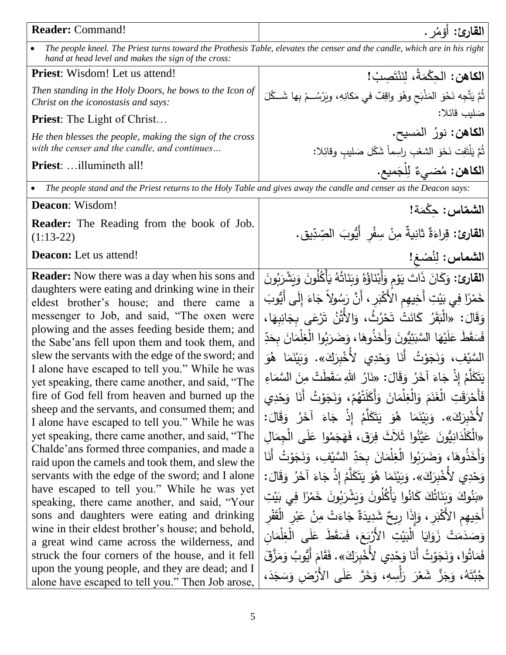| <b>Reader:</b> Command!                                                                                                                                                                                                                                                                                                                                                                                                                                                                                                                                                                                                                                                                                                                                                                                                                                                                                                                                                                                                                                                                                                                                                                            | القارئ: أؤمُر .                                                                                                                                                                                                                                                                                                                                                                                                                                                                                                                                                                                                                                                                                                                                                                                                                                                                                                                                                                                                                                                                                                                                                                                                                                                                        |
|----------------------------------------------------------------------------------------------------------------------------------------------------------------------------------------------------------------------------------------------------------------------------------------------------------------------------------------------------------------------------------------------------------------------------------------------------------------------------------------------------------------------------------------------------------------------------------------------------------------------------------------------------------------------------------------------------------------------------------------------------------------------------------------------------------------------------------------------------------------------------------------------------------------------------------------------------------------------------------------------------------------------------------------------------------------------------------------------------------------------------------------------------------------------------------------------------|----------------------------------------------------------------------------------------------------------------------------------------------------------------------------------------------------------------------------------------------------------------------------------------------------------------------------------------------------------------------------------------------------------------------------------------------------------------------------------------------------------------------------------------------------------------------------------------------------------------------------------------------------------------------------------------------------------------------------------------------------------------------------------------------------------------------------------------------------------------------------------------------------------------------------------------------------------------------------------------------------------------------------------------------------------------------------------------------------------------------------------------------------------------------------------------------------------------------------------------------------------------------------------------|
| hand at head level and makes the sign of the cross:                                                                                                                                                                                                                                                                                                                                                                                                                                                                                                                                                                                                                                                                                                                                                                                                                                                                                                                                                                                                                                                                                                                                                | The people kneel. The Priest turns toward the Prothesis Table, elevates the censer and the candle, which are in his right                                                                                                                                                                                                                                                                                                                                                                                                                                                                                                                                                                                                                                                                                                                                                                                                                                                                                                                                                                                                                                                                                                                                                              |
| <b>Priest:</b> Wisdom! Let us attend!                                                                                                                                                                                                                                                                                                                                                                                                                                                                                                                                                                                                                                                                                                                                                                                                                                                                                                                                                                                                                                                                                                                                                              | الكاهن: الحكْمَةُ، لنَنْتَصِبْ!                                                                                                                                                                                                                                                                                                                                                                                                                                                                                                                                                                                                                                                                                                                                                                                                                                                                                                                                                                                                                                                                                                                                                                                                                                                        |
| Then standing in the Holy Doors, he bows to the Icon of<br>Christ on the iconostasis and says:                                                                                                                                                                                                                                                                                                                                                                                                                                                                                                                                                                                                                                                                                                                                                                                                                                                                                                                                                                                                                                                                                                     | ثُمَّ يَتَّجِه نَحْوَ المَذْبَحِ وهُوَ واقِفٌ في مَكانِهِ، ويَرْسُــمْ بِها شَــكُلَ                                                                                                                                                                                                                                                                                                                                                                                                                                                                                                                                                                                                                                                                                                                                                                                                                                                                                                                                                                                                                                                                                                                                                                                                   |
| <b>Priest:</b> The Light of Christ                                                                                                                                                                                                                                                                                                                                                                                                                                                                                                                                                                                                                                                                                                                                                                                                                                                                                                                                                                                                                                                                                                                                                                 | صَليب قائلا:                                                                                                                                                                                                                                                                                                                                                                                                                                                                                                                                                                                                                                                                                                                                                                                                                                                                                                                                                                                                                                                                                                                                                                                                                                                                           |
| He then blesses the people, making the sign of the cross<br>with the censer and the candle, and continues                                                                                                                                                                                                                                                                                                                                                                                                                                                                                                                                                                                                                                                                                                                                                                                                                                                                                                                                                                                                                                                                                          | الكاهن: نورُ المَسيح.<br>ثُمَّ يَلْتَفِت نَحْوَ الشغْبِ راسِماً شَكْل صَليبٍ وقائِلا:                                                                                                                                                                                                                                                                                                                                                                                                                                                                                                                                                                                                                                                                                                                                                                                                                                                                                                                                                                                                                                                                                                                                                                                                  |
| <b>Priest:</b> illumineth all!                                                                                                                                                                                                                                                                                                                                                                                                                                                                                                                                                                                                                                                                                                                                                                                                                                                                                                                                                                                                                                                                                                                                                                     | ا <b>لكاهن:</b> مُضىيءٌ لِلْجَميع.                                                                                                                                                                                                                                                                                                                                                                                                                                                                                                                                                                                                                                                                                                                                                                                                                                                                                                                                                                                                                                                                                                                                                                                                                                                     |
| The people stand and the Priest returns to the Holy Table and gives away the candle and censer as the Deacon says:<br>$\bullet$                                                                                                                                                                                                                                                                                                                                                                                                                                                                                                                                                                                                                                                                                                                                                                                                                                                                                                                                                                                                                                                                    |                                                                                                                                                                                                                                                                                                                                                                                                                                                                                                                                                                                                                                                                                                                                                                                                                                                                                                                                                                                                                                                                                                                                                                                                                                                                                        |
| Deacon: Wisdom!                                                                                                                                                                                                                                                                                                                                                                                                                                                                                                                                                                                                                                                                                                                                                                                                                                                                                                                                                                                                                                                                                                                                                                                    | الشماس: حكْمَة!                                                                                                                                                                                                                                                                                                                                                                                                                                                                                                                                                                                                                                                                                                                                                                                                                                                                                                                                                                                                                                                                                                                                                                                                                                                                        |
| <b>Reader:</b> The Reading from the book of Job.<br>$(1:13-22)$                                                                                                                                                                                                                                                                                                                                                                                                                                                                                                                                                                                                                                                                                                                                                                                                                                                                                                                                                                                                                                                                                                                                    | ا <b>لقارئ:</b> قِراءَةٌ ثانِيةٌ مِنْ سِفْرِ أَيُّوبَ الصِّدِّيقِ.                                                                                                                                                                                                                                                                                                                                                                                                                                                                                                                                                                                                                                                                                                                                                                                                                                                                                                                                                                                                                                                                                                                                                                                                                     |
| <b>Deacon:</b> Let us attend!                                                                                                                                                                                                                                                                                                                                                                                                                                                                                                                                                                                                                                                                                                                                                                                                                                                                                                                                                                                                                                                                                                                                                                      | الشماس: لِنُصْغ!                                                                                                                                                                                                                                                                                                                                                                                                                                                                                                                                                                                                                                                                                                                                                                                                                                                                                                                                                                                                                                                                                                                                                                                                                                                                       |
| <b>Reader:</b> Now there was a day when his sons and<br>daughters were eating and drinking wine in their<br>eldest brother's house; and there came a<br>messenger to Job, and said, "The oxen were<br>plowing and the asses feeding beside them; and<br>the Sabe'ans fell upon them and took them, and<br>slew the servants with the edge of the sword; and<br>I alone have escaped to tell you." While he was<br>yet speaking, there came another, and said, "The<br>fire of God fell from heaven and burned up the<br>sheep and the servants, and consumed them; and<br>I alone have escaped to tell you." While he was<br>yet speaking, there came another, and said, "The<br>Chalde'ans formed three companies, and made a<br>raid upon the camels and took them, and slew the<br>servants with the edge of the sword; and I alone<br>have escaped to tell you." While he was yet<br>speaking, there came another, and said, "Your<br>sons and daughters were eating and drinking<br>wine in their eldest brother's house; and behold,<br>a great wind came across the wilderness, and<br>struck the four corners of the house, and it fell<br>upon the young people, and they are dead; and I | القارئ: وَكَانَ ذَاتَ يَوْمِ وَأَبْنَاؤُهُ وَبَنَاتُهُ يَأْكُلُونَ وَيَشْرَبُونَ<br>خَمْرًا فِي بَيْتِ أَخِيهِمِ الأَكْبَرِ ، أَنَّ رَسُولاً جَاءَ إِلَى أَيُّوبَ<br>وَقَالَ: «الْبَقَرُ كَانَتْ تَحْرُثُ، وَالأَتْنُ تَرْعَى بِجَانِبِهَا،<br>فَسَقَطَ عَلَيْهَا السَّبَئِيُّونَ وَأَخَذُوهَا، وَضَرَبُوا الْغِلْمَانَ بِحَدِّ<br>السَّيْفِ، وَنَجَوْتُ أَنَا وَحْدِي لِأَخْبِرَكَ». وَبَيْنَمَا هُوَ<br>يَتَكَلَّمُ إِذْ جَاءَ آخَرُ وَقَالَ: «نَارُ  اللهِ سَقَطَتْ مِنَ السَّمَاءِ<br>فَأَحْرَقَتِ الْغَنَمَ وَالْغِلْمَانَ وَأَكَلَتْهُمْ، وَنَجَوْتُ أَنَا وَحْدِي<br>لأَخْبِرَكَ». وَبَيْنَمَا هُوَ يَتَكَلَّمُ إِذْ جَاءَ آخَرُ وَقَالَ:<br>«الْكَلْدَانِيُّونَ عَيَّنُوا ثَلاَثَ فِرَقٍ، فَهَجَمُوا عَلَى الْجِمَالِ<br>وَأَخَذُوهَا، وَضَرَبُوا الْغِلْمَانَ بِحَدِّ السَّيْفِ، وَنَجَوْتُ أَنَا<br>وَحْدِي لأَخْبِرَكَ». وَبَيْنَمَا هُوَ يَتَكَلَّمُ إِذْ جَاءَ آخَرُ وَقَالَ:<br>«بَنُوكَ وَبَنَاتُكَ كَانُوا يَأْكُلُونَ وَبَشْرَبُونَ خَمْرًا فِي بَيْتِ<br>أَخِيهِم الأَكْبَرِ ، وَإِذَا رِيحٌ شَدِيدَةٌ جَاءَتْ مِنْ عَبْرِ الْقَفْرِ<br>وَصَدَمَتْ زَوَايَا الْبَيْتِ الأَرْبَعَ، فَسَقَطَ عَلَى الْغِلْمَان<br>فَمَاثُوا، وَنَجَوْتُ أَنَا وَحْدِي لأَخْبِرَكَ». فَقَامَ أَيُّوبُ وَمَزَّقَ<br>جُبَّتَهُ، وَجَزَّ شَعْرَ رَأْسِهِ، وَخَرَّ عَلَى الأَرْضِ وَسَجَدَ، |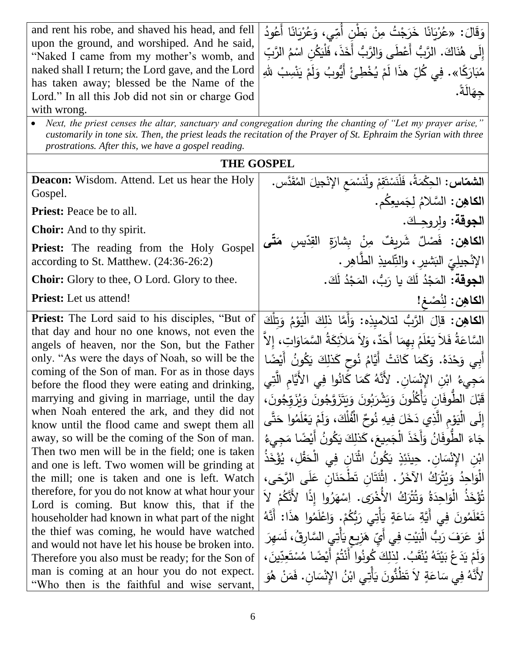and rent his robe, and shaved his head, and fell upon the ground, and worshiped. And he said, "Naked I came from my mother's womb, and naked shall I return; the Lord gave, and the Lord has taken away; blessed be the Name of the Lord." In all this Job did not sin or charge God with wrong.

وَقَالَ: «عُرْيَانًا خَرَجْتُ مِنْ بَطْنٍ أُمِّي، وَعُرْيَانًا أَعُودُ<br>- $\ddot{\phantom{0}}$ .<br>ا َ َ <u>:</u> **ٔ** ب أَ ُّ . الَّر َ اك َ ن ُ َى ه ِإل ِ ّ الَّرب ُ م ِن اس ُ ك َْلي َ َذ، ف ب أَخ ُّ الَّر َطى و ع ـ<br>.  $\ddot{=}$ َ <u>م</u> مُبَارَكًا». فِي كُلِّ هذَا لَمْ يُخْطِئْ أَيُّوبُ وَلَمْ يَنْسِبْ لل*َّهِ*<br>-<u>اب</u><br>ا َبا<br>ا ْ َ  $\tilde{\zeta}$ ْ جِهَالَةً.

• *Next, the priest censes the altar, sanctuary and congregation during the chanting of "Let my prayer arise," customarily in tone six. Then, the priest leads the recitation of the Prayer of St. Ephraim the Syrian with three prostrations. After this, we have a gospel reading.*

| <b>THE GOSPEL</b>                                                                                                                                                                                                                                                                                                                                                                                                                                                                                                                                                                                                                                                                                                                                                                                                                                                            |                                                                                                                                                                                                                                                                                                                                                                                                                                                                                                                                                                                                                                                                                                                                                                                                                                                                                      |
|------------------------------------------------------------------------------------------------------------------------------------------------------------------------------------------------------------------------------------------------------------------------------------------------------------------------------------------------------------------------------------------------------------------------------------------------------------------------------------------------------------------------------------------------------------------------------------------------------------------------------------------------------------------------------------------------------------------------------------------------------------------------------------------------------------------------------------------------------------------------------|--------------------------------------------------------------------------------------------------------------------------------------------------------------------------------------------------------------------------------------------------------------------------------------------------------------------------------------------------------------------------------------------------------------------------------------------------------------------------------------------------------------------------------------------------------------------------------------------------------------------------------------------------------------------------------------------------------------------------------------------------------------------------------------------------------------------------------------------------------------------------------------|
| Deacon: Wisdom. Attend. Let us hear the Holy<br>Gospel.                                                                                                                                                                                                                                                                                                                                                                                                                                                                                                                                                                                                                                                                                                                                                                                                                      | ال <b>شمّاس:</b> الحِكْمَةُ، فَلْنَسْتَقِمْ ولْنَسْمَعِ الإِنْجِيلَ المُقَدَّس.                                                                                                                                                                                                                                                                                                                                                                                                                                                                                                                                                                                                                                                                                                                                                                                                      |
| <b>Priest:</b> Peace be to all.                                                                                                                                                                                                                                                                                                                                                                                                                                                                                                                                                                                                                                                                                                                                                                                                                                              | الكاهِن: السَّلامُ لِجَميعِكُم.                                                                                                                                                                                                                                                                                                                                                                                                                                                                                                                                                                                                                                                                                                                                                                                                                                                      |
| <b>Choir:</b> And to thy spirit.                                                                                                                                                                                                                                                                                                                                                                                                                                                                                                                                                                                                                                                                                                                                                                                                                                             | ا <b>لجوقة:</b> ولروجـكَ.                                                                                                                                                                                                                                                                                                                                                                                                                                                                                                                                                                                                                                                                                                                                                                                                                                                            |
| <b>Priest:</b> The reading from the Holy Gospel<br>according to St. Matthew. $(24:36-26:2)$                                                                                                                                                                                                                                                                                                                                                                                                                                                                                                                                                                                                                                                                                                                                                                                  | ا <b>لكاهِن:</b> فَصْلٌ شَرِيفٌ مِنْ بِشارَةِ القِدِّيسِ <b>مَتَّ<i>ى</i></b><br>الإِنْجِيلِيِّ البَشيرِ ، والتِّلميذِ الطَّاهِرِ .                                                                                                                                                                                                                                                                                                                                                                                                                                                                                                                                                                                                                                                                                                                                                  |
| <b>Choir:</b> Glory to thee, O Lord. Glory to thee.                                                                                                                                                                                                                                                                                                                                                                                                                                                                                                                                                                                                                                                                                                                                                                                                                          | ا <b>لجوقة:</b> المَجْدُ لَكَ يا رَبُّ، المَجْدُ لَكَ.                                                                                                                                                                                                                                                                                                                                                                                                                                                                                                                                                                                                                                                                                                                                                                                                                               |
| <b>Priest:</b> Let us attend!                                                                                                                                                                                                                                                                                                                                                                                                                                                                                                                                                                                                                                                                                                                                                                                                                                                | الكاهِن: لِنُصْـغ!                                                                                                                                                                                                                                                                                                                                                                                                                                                                                                                                                                                                                                                                                                                                                                                                                                                                   |
| <b>Priest:</b> The Lord said to his disciples, "But of<br>that day and hour no one knows, not even the<br>angels of heaven, nor the Son, but the Father<br>only. "As were the days of Noah, so will be the<br>coming of the Son of man. For as in those days<br>before the flood they were eating and drinking,<br>marrying and giving in marriage, until the day<br>when Noah entered the ark, and they did not<br>know until the flood came and swept them all<br>away, so will be the coming of the Son of man.<br>Then two men will be in the field; one is taken<br>and one is left. Two women will be grinding at<br>the mill; one is taken and one is left. Watch<br>therefore, for you do not know at what hour your<br>Lord is coming. But know this, that if the<br>householder had known in what part of the night<br>the thief was coming, he would have watched | ا <b>لكاهِن:</b> قاِلَ الرَّبُّ لتلاميذِه: وَأَمَّا ذلِكَ الْيَوْمُ وَتِلْكَ<br>السَّاعَةُ فَلاَ يَعْلَمُ بهمَا أَحَدٌ، وَلِاَ مَلاَئِكَةُ السَّمَاوَاتِ، إِلاّ<br>أَبِي وَحْدَهُ. وَكَمَا كَانَتْ أَيَّامُ نُوحٍ كَذلِكَ يَكُونُ أَيْضًا<br>مَجِىءُ ابْنِ الإِنْسَانِ. لأَنَّهُ كَمَا كَانُوا فِي الأَيَّامِ الَّتِي<br>قَبْلَ الطُّوفَانِ يَأْكُلُونَ وَيَشْرَبُونَ وَيَتَزَوَّجُونَ وَيُزَوِّجُونَ،<br>إِلَى الْيَوْمِ الَّذِي دَخَلَ فِيهِ نُوحٌ الْفُلْكَ، وَلَمْ يَعْلَمُوا حَتَّى<br>جَاءَ الطُّوفَانُ وَأَخَذَ الْجَمِيعَ، كَذلِكَ يَكُونُ أَيْضًا مَجِيءُ<br>ابْنِ الإِنْسَانِ. حِينَئِذٍ يَكُونُ اثْنَانٍ فِي الْحَقْلِ، يُؤْخَذُ<br>الْوَاحِدُ وَيُتْرَكُ الآخَرُ . اِثْنَتَانِ تَطْحَنَانِ عَلَى الرَّحَى،<br>تُؤْخَذُ الْوَاحِدَةُ وَتُتْرَكُ الأُخْرَى. اِسْهَرُوا إِذًا لأَنَّكُمْ لاَ<br>تَعْلَمُونَ فِي أَيَّةٍ سَاعَةٍ يَأْتِى رَبُّكُمْ. وَلِطْمُوا هذَا: أَنَّهُ |
| and would not have let his house be broken into.<br>Therefore you also must be ready; for the Son of<br>man is coming at an hour you do not expect.                                                                                                                                                                                                                                                                                                                                                                                                                                                                                                                                                                                                                                                                                                                          | لَوْ عَرَفَ رَبُّ الْبَيْتِ فِي أَيِّ هَزِيعٍ يَأْتِي السَّارِقُ، لَسَهِرَ<br>وَلَمْ يَدَعْ بَيْتَهُ يُنْقَبُ. لِذلِكَ كُونُوا أَنْتُمْ أَيْضًا مُسْتَعِدِّينَ،<br>لأَنَّهُ فِي سَاعَةٍ لاَ تَظُنُّونَ يَأْتِي ابْنُ الإِنْسَانِ. فَمَنْ هُوَ                                                                                                                                                                                                                                                                                                                                                                                                                                                                                                                                                                                                                                        |
| "Who then is the faithful and wise servant,                                                                                                                                                                                                                                                                                                                                                                                                                                                                                                                                                                                                                                                                                                                                                                                                                                  |                                                                                                                                                                                                                                                                                                                                                                                                                                                                                                                                                                                                                                                                                                                                                                                                                                                                                      |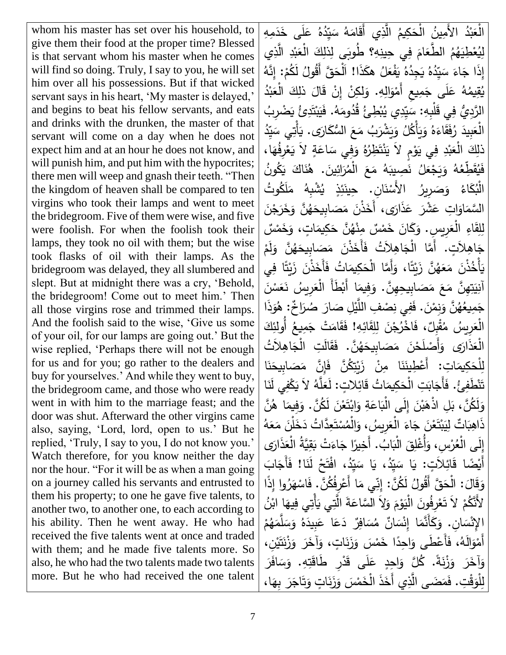whom his master has set over his household, to give them their food at the proper time? Blessed is that servant whom his master when he comes will find so doing. Truly, I say to you, he will set him over all his possessions. But if that wicked servant says in his heart, 'My master is delayed,' and begins to beat his fellow servants, and eats and drinks with the drunken, the master of that servant will come on a day when he does not expect him and at an hour he does not know, and will punish him, and put him with the hypocrites; there men will weep and gnash their teeth. "Then the kingdom of heaven shall be compared to ten virgins who took their lamps and went to meet the bridegroom. Five of them were wise, and five were foolish. For when the foolish took their lamps, they took no oil with them; but the wise took flasks of oil with their lamps. As the bridegroom was delayed, they all slumbered and slept. But at midnight there was a cry, 'Behold, the bridegroom! Come out to meet him.' Then all those virgins rose and trimmed their lamps. And the foolish said to the wise, 'Give us some of your oil, for our lamps are going out.' But the wise replied, 'Perhaps there will not be enough for us and for you; go rather to the dealers and buy for yourselves.' And while they went to buy, the bridegroom came, and those who were ready went in with him to the marriage feast; and the door was shut. Afterward the other virgins came also, saying, 'Lord, lord, open to us.' But he replied, 'Truly, I say to you, I do not know you.' Watch therefore, for you know neither the day nor the hour. "For it will be as when a man going on a journey called his servants and entrusted to them his property; to one he gave five talents, to another two, to another one, to each according to his ability. Then he went away. He who had received the five talents went at once and traded with them; and he made five talents more. So also, he who had the two talents made two talents more. But he who had received the one talent

الْعَبْدُ الأَمِينُ الْحَكِيمُ الَّذِي أَقَامَهُ سَيِّدُهُ عَلَى خَدَمِهِ<br>نفسه النَّامِينُ َ ً<br>ب ً<br>ً <u>ہ</u> َ <u>َ</u> َ لِيُعْطِيَهُمُ الطَّعَامَ فِي حِينِهِ؟ طُوبَى لِذلِكَ الْعَبْدِ الَّذِي<br>وَيَسْطِيَهُمُ الطَّعَامَ فِي حِينِهِ؟ طُوبَى لِذلِكَ الْعَبْدِ الَّذِي ْ أ َ ۔<br>، مُ ْ إِذَا جَاءَ سَيِّدُهُ يَجِدُهُ يَفْعَلُ هكَذَا! اَلْحَقَّ أَقُولُ لَكُمْ: إِنَّهُ<br>. ْ َ َ  $\ddot{\phantom{0}}$ يُقِيمُهُ عَلَى جَمِيعِ أَمْوَالِهِ. وَلكِنْ إِنْ قَالَ ذَلِكَ الْعَبْدُ<br>-ْ َ َ  $\overline{\phantom{a}}$ <u>ة</u> .<br>-<u>:</u> َ َ ا<br>ا الزَّدِيُّ فِي قَلْبِهِ: سَيِّدِي يُبْطِئُ قُدُومَهُ. فَيَبْتَدِئُ يَضْرِبُ<br>' ْ .<br>ا <u>ہ</u> َ ْ ٔ الْعَبِيدَ رُفَقَاءَهُ وَيَأْكُلُ وَيَشْرَبُ مَعَ السُّكَارَى. يَأْتِي سَيِّدُ<br>سنة المُسَارِك ً<br>أ َ َ  $\zeta$ ً<br>ً َبَا<br>أ ،<br>۔  $\frac{1}{2}$ ذلِكَ الْعَبْدِ فِي يَوْمٍ لاَ يَنْتَظِرُهُ وَفِي سَاعَةٍ لاَ يَعْرِفُهَا،<br>يَدَ تَنْ َ ْ  $\ddot{=}$ <u>ء</u> ً<br>ب َ <u>َ</u> <u>َ</u> َـاً<br>ا ْ .<br>پا <u>َ</u> َ فَيُقَطِّعُهُ وَيَجْعَلُ نَصِيبَهُ مَعَ الْمُرَائِينَ. هُنَاكَ يَكُونُ<br>\*  $\zeta$ ا<br>ا َ َ **ٔ** َ .<br>تا ا<br>ا .<br>ا الْبُكَاءُ وَصَرِبِرُ الأَسْنَانِ. حِينَئِذٍ يُشْبِهُ مَلَكُوتُ<br>اللَّهُ الْجَمَعُ وَصَلاً الْمَسْنَانِ. اب<br>ا ْ ا<br>ا َ <u>َ</u>ـٰ السَّمَاوَاتِ عَشْرَ عَذَارَى، أَخَذْنَ مَصَابِيحَهُنَّ وَخَرَجْنَ<br>وَيَسْمَعُوا اللَّهِ عَشْرًا عَذَارَى الْمَدْنَ َ َ َ .<br>-َ <u>ء</u> لِلِقَاءِ الْعَرِيسِ. وَكَانَ خَمْسٌ مِنْهُنَّ حَكِيمَاتٍ، وَخَمْسٌ َ ا<br>ا َ <u>ً</u> َ <u>ہ</u> جَاهِلاَتٍ. أَمَّا الْجَاهِلاَتُ فَأَخَذْنَ مَصَابِيحَهُنَّ وَلَمْ<br>ءُوفَ **∶** ْ َ َ َ <u>َ</u>ـٰ <u>َ</u> يَأْخُذْنَ مَعَهُنَّ زَيْتًا، وَأَمَّا الْحَكِيمَاتُ فَأَخَذْنَ زَيْتًا فِي<br>-ْبَا<br>مُعَا َ َ َ ا<br>ا َ َ <u>ا</u> ِّزِ <u>َ</u>ـٰ آنِيَتِهِنَّ مَعَ مَصَابِيحِهِنَّ. وَفِيمَا أَبْطَأَ الْعَرِيسُ نَعَسْنَ<br>تَسَعَّدُونَ مَسَاءِ ْ َ ْ ار<br>بر َ جَمِيعُهُنَّ وَنِمْنَ. فَفِي نِصْفِ اللَّيْلِ صَارَ صُرَاخٌ: هُوَذَا<br>. َ َ َ ׇ֦֘<u>֓</u>֖֖֖֖֝ ا<br>ا الْعَرِيسُ مُقْبِلٌ، فَاخْرُجْنَ لِلِقَائِهِ! فَقَامَتْ جَمِيعُ أُولئِكَ<br>\* يَجْمِيهُ مَقْبِلٌ، فَاخْرُجْنَ لِلِقَائِهِ! فَقَامَتْ جَمِيعُ أُولئِكَ َ  $\ddot{\phantom{0}}$ ا<br>۔ .<br>م .<br>م <u>َ</u>ـٰ <u>ہ</u> ِ<br>م الْعَذَارَى وَأَصْلَحْنَ مَصَابِيحَهُنَّ. فَقَالَتِ الْجَاهِلاَتُ<br>فَاتَحَذَّرَ الْمَسْتَمَرِينَ مَعَ ֺ֧<sup>֓</sup>  $\overline{a}$ .<br>م َ َ ـَـٰ لِلْحَكِيمَاتِ: أَعْطِينَنَا مِنْ زَيْتِكُنَّ فَإِنَّ مَصَابِيحَنَا<br>كَافِي الْمَجْمَعَةِ الْمَسْرِينَ مِنْ الْمَرْضَى اب<br>ا <u>ً</u> ً<br>ً <u>ہ</u> <u>َ</u> ِّ اب<br>ا َ ْ تَنْطَفِئُ. فَأَجَابَتِ الْحَكِيمَاتُ قَائِلاتٍ: لَعَلَّهُ لاَ يَكْفِي لَنَا<br>كَيْفَاءِ َ <u>ہ</u> َ ≏<br>. ْ ا<br>ا  $\ddot{=}$ وَلَكُنَّ، بَلِ اذْهَبْنَ إِلَى الْبَاعَةِ وَابْتَعْنَ لَكُنَّ. وَفِيمَا هُنَّ<br>-ا<br>ا َ <u>َ</u> ْبَلْ<br>ف َ <u>م</u> ٔ. .<br>-ذَاهِبَاتٌ لِيَبْتَعْنَ جَاءَ الْعَرِيسُ، وَالْمُسْتَعِدَّاتُ دَخَلْنَ مَعَهُ َ ً<br>ً .<br>-اً<br>أ ْ َ َ **ء**<br>• ֺ֧<sup>ֺ</sup> ْ إِلَى الْعُرْسِ، وَأَغْلِقَ الْبَابُ. أَخِيرًا جَاءَتْ بَقِيَّةُ الْعَذَارَى<br>ءَ ر<br>ج ٔ, ۶<br>。 ֺ֧<sup>ֺ</sup> َ  $\overline{\phantom{0}}$ .<br>ب **∶** اب أَج ا! ف َن ل َح ْت ، اف ُ ِد ّ ي ا س ، ي ُ ِد ّ ي ا س ٍت: ي ِالَ ائ َ ْ ًضا ق أَي  $\ddot{\phantom{0}}$ <u>ہ</u> اب<br>ا **ٔ** ً<br>ب **ٔ** ـ<br>.  $\ddot{ }$ وَقَالَ: الْحَقَّ أَقُولُ لَكُنَّ: إِنِّي مَا أَعْرِفُكُنَّ. فَاسْهَرُوا إِذًا<br>أَمَّا وَجَمَعَهُ  $\epsilon$ ْ َ ْ َ ْلأَنَّكُمْ لاَ تَعْرِفُونَ الْيَوْمَ وَلاَ السَّاعَةَ الَّتِي يَأْتِي فِيهَا ابْنُ َ  $\ddot{ }$ <u>ء</u> ءِ<br>ِ مُ ْ َبا .<br>-ْ ْ الإِنْسَانِ. وَكَأَنَّمَا إِنْسَانٌ مُسَافِرٌ دَعَا عَبِيدَهُ وَسَلَّمَهُمْ<br>أَمْ نَسَانٍ مَنْ الْمَسَانُ مُسَافِرٌ ْ َ ـا<br>. َ :<br>ا <u>م</u> <u>ء</u> ً<br>أ ـ<br>۔ ا<br>ا أَمْوَالَهُ، فَأَعْطَى وَاحِدًا خَمْسَ وَزَنَاتٍ، وَآخَرَ وَزْنَتَيْنِ،<br>~ ْ  $\frac{1}{2}$ َ َ َ ء<br>بر .<br>ا .<br>م َ َ **ٔ** ا<br>. .<br>م وَأَخَرَ وَزْنَةً. كُلَّ وَاحِدٍ عَلَى قَدْرِ طَاقَتِهِ. وَسَافَرَ<br>في في ـا<br>ا َ <u>ہ</u> .<br>-<br>-ء<br>َ َ <u>َ</u> لِلْوَقْتِ. فَمَضَى الَّذِي أَخَذَ الْخَمْسَ وَزَنَاتٍ وَتَاجَرَ بِهَا،  $\ddot{\cdot}$ ֺ<u>֚</u> َ .<br>ا .<br>م َ <u>ٰ</u>ٰ  $\triangleleft$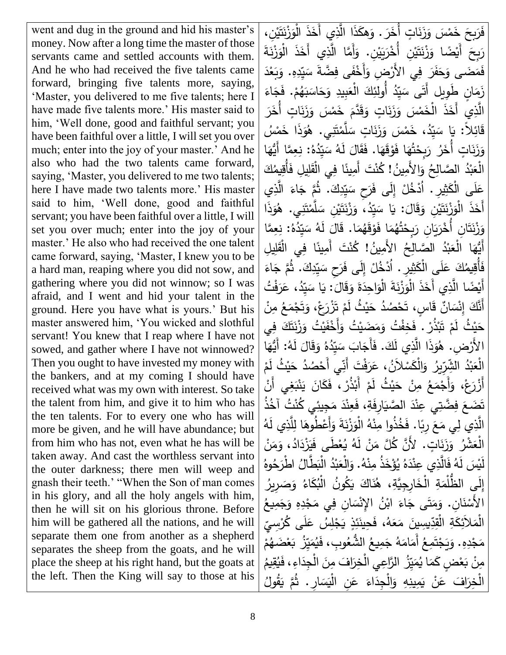went and dug in the ground and hid his master's money. Now after a long time the master of those servants came and settled accounts with them. And he who had received the five talents came forward, bringing five talents more, saying, 'Master, you delivered to me five talents; here I have made five talents more.' His master said to him, 'Well done, good and faithful servant; you have been faithful over a little, I will set you over much; enter into the joy of your master.' And he also who had the two talents came forward, saying, 'Master, you delivered to me two talents; here I have made two talents more.' His master said to him, 'Well done, good and faithful servant; you have been faithful over a little, I will set you over much; enter into the joy of your master.' He also who had received the one talent came forward, saying, 'Master, I knew you to be a hard man, reaping where you did not sow, and gathering where you did not winnow; so I was afraid, and I went and hid your talent in the ground. Here you have what is yours.' But his master answered him, 'You wicked and slothful servant! You knew that I reap where I have not sowed, and gather where I have not winnowed? Then you ought to have invested my money with the bankers, and at my coming I should have received what was my own with interest. So take the talent from him, and give it to him who has the ten talents. For to every one who has will more be given, and he will have abundance; but from him who has not, even what he has will be taken away. And cast the worthless servant into the outer darkness; there men will weep and gnash their teeth.' "When the Son of man comes in his glory, and all the holy angels with him, then he will sit on his glorious throne. Before him will be gathered all the nations, and he will separate them one from another as a shepherd separates the sheep from the goats, and he will place the sheep at his right hand, but the goats at the left. Then the King will say to those at his

ِن، ي ت ْزن َ َذ اْلو ِي أَخ ذ َّ َ َذا ال هك . و َر ٍت أُخ ا ن ز َ ْ َس و َم َ خ بح َ َر ف ْ أ  $\frac{1}{2}$ ِ<br>ِ َ َ .<br>م .<br>ا .<br>م رَبِحَ أَيْضًا وَزْنَتَيْنِ أُخْرَيَيْنِ. وَأَمَّا الَّذِي أَخَذَ الْوَزْنَةَ َ ءِ<br>ِ ْ ـا<br>تا .<br>م ْ  $\frac{1}{2}$  $\ddot{ }$ فَمَضَى وَحَفَرَ فِي الأَرْضِ وَأَخْفَى فِضَّةَ سَيِّدِهِ. وَبَعْدَ<br>. ْ  $\ddot{\phantom{0}}$ َ ً<br>ب َ .<br>ا ُ ِد ّ ي َى س ا ٍن َطِويل أَت َ َم ز اء َج . ف م ُ ه ب اس ح و ِ ِبيد اْلع ِك أُولئ َ َ **∶** ْ .<br>ا ً<br>ب َ َ **ء** َ .<br>م الَّذِي أَخَذَ الْخَمْسَ وَزَنَاتٍ وَقَدَّمَ خَمْسَ وَزَنَاتٍ أُخَرَ<br>ِ .<br>ا .<br>م َ مُ َ َ .<br>ا َ َ قَائِلاً: يَا سَيِّدُ، خَمْسَ وَزَنَاتٍ سَلَّمْتَنِي. هُوَذَا خَمْسُ<br>مَسْتَفْسَدُ مَنْ الْمَسْتَفْسَدَ وَجَمَعَتْ الْمَوْسَ َ ِ ْ ـا<br>ا .<br>ا .<br>م َ وَزَنَاتٍ أُخَرُ رَبِحْتُهَا فَوْقَهَا. فَقَالَ لَهُ سَيِّدُهُ: نِعِمَّا أَيُّهَا<br>. ً<br>ب  $\overline{\phantom{a}}$ .<br>م € ْ َ <u>ٔ</u>  $\epsilon$ َ الْعَبْدُ الصَّالِحُ وَالأَمِينُ! كُنْتَ أَمِينًا فِي الْقَلِيلِ فَأُقِيمُكَ<br>الْعَبْدُ الصَّالِحُ وَالأَمِينُ! كُنْتَ أَمِينًا فِي الْقَلِيلِ فَأُقِيمُكَ َ ٍ<br>م <u>َ</u> عَلَى الْكَثِيرِ . اُدْخُلْ إِلَى فَرَحِ سَيِّدِكَ . ثُمَّ جَاءَ الَّذِي َ  $\ddot{\phantom{0}}$ َ ،<br>• ُرُ<br>ِ ֡֡<u>֡</u> أَخَذَ الْوَزْنَتَيْنِ وَقَالَ: يَا سَيِّدُ، وَزْنَتَيْنِ سَلَّمْتَنِي، هُوَذَا<br>مُسَائِفَةِ الْمَسْئِينِينَ وَقَالَ َ  $\frac{1}{2}$ ْ ٔ ا<br>ا <u>بَ</u> َ َ ـ<br>- $\ddot{ }$  $\overline{\phantom{a}}$ َ ْ وَزْنَتَانِ أُخْرَيَانِ رَبِحْتُهُمَا فَوْقَهُمَا. قَالَ لَهُ سَيِّدُهُ: نِعِمَّا<br>وَأَنْسَانِ مَنْ أُخْرَيَانِ رَبِحْتُهُمَا فَوْقَهُمَا. َ )<br>: <u>ة</u> َ <u>ٔ</u> ا<br>ا <u>ٔ</u> َ يُّهَا الْعَبْدُ الصَّالِحُ الأُمِينُ! كُنْتَ أُمِينًا فِي الْقَلِيلِ<br>وُّ ة<br>م ْ أَيُّهَا الْعَبْدُ الْصَّالِحُ الأَمِينُ! كُنْتَ أَمِينًا فِي الْقَلِيلِ<br>فَأُقِيمُكَ عَلَى الْكَثِيرِ . اُدْخُلْ إِلَى فَرَحِ سَيِّدِكَ . ثُمَّ جَاءَ<br>مَمَّدَ تَسَعَّلَ عَلَيْهِ . -<br>∙ .<br>نا ً<br>أ َ <u>ٔ</u> َ ا<br>با أَيْضًا الَّذِي أَخَذَ الْوَزْنَةَ الْوَاحِدَةَ وَقَالَ: يَا سَيِّدُ، عَرَفْتُ<br>يَبِيضًا الَّذِي أَخَذَ الْوَزْنَةَ الْوَاحِدَةَ وَقَالَ:  $\ddot{ }$ َ َ <u>ّ</u> .<br>م ً<br>أ  $\ddot{ }$  $\overline{\phantom{a}}$ <u>ہ</u> َ .<br>-أَنَّكَ إِنْسَانٌ قَاسٍ، تَحْصُدُ حَيْثُ لَمْ تَزْرَعْ، وَتَجْمَعُ مِنْ<br>. َ **ٔ** َ ْ َ حَيْثُ لَمْ تَبْذُرْ . فَخِفْتُ وَمَضَيْتُ وَأَخْفَيْتُ وَزْنَتَكَ فِي<br>-َ َ َ .<br>م َ َ <u>ہ</u> .<br>-<br>-ْ ْ الأَرْضِ. هُوَذَا الَّذِي لَكَ. فَأَجَابَ سَيِّدُهُ وَقَالَ لَهُ: أَيُّهَا<br>. َ ِّ َ َ ً<br>ب َ َ َ **ٔ ٔ** الْعَبْدُ الشِّرِّيرُ وَالْكَسْلاَنُ، عَرَفْتَ أَنِّي أَحْصُدُ حَيْثُ لَمْ<br>أَ ْ َ <u>ّ</u> .<br>م .<br>, أَزْرَعْ، وَأَجْمَعُ مِنْ حَيْثُ لَمْ أَبْذُرْ، فَكَانَ يَنْبَغِي أَنْ<br>ِ .<br>. <u>َ</u> َـاَ .<br>ا َ ٔ<br>. ْ ْ َ ֺ<u>֓</u> تَضَعَ فِضَّتِي عِنْدَ الصَّيَارِفَةِ، فَعِنْدَ مَجِيئِي كُنْتُ آخُذُ ً<br>ٌ <u>ا</u>  $\ddot{=}$ .<br>ا <u>ا</u> الَّذِي لِي مَعَ رِبًا. فَخُذُوا مِنْهُ الْوَزْنَةَ وَأَعْطُوهَا لِلَّذِي لَهُ<br>أَنْسُوا اللَّذِي اللَّهُ عَامَلُوا مِنْهُ الْوَزْنَةَ وَأَعْطُوهَا لِلَّذِي لَهُ <u>ء</u><br>. َ ْ ء<br>پ .<br>-الْعَشْرُ وَزَنَاتٍ. لأَنَّ كُلَّ مَنْ لَهُ يُعْطَى فَيَزْدَادُ، وَمَنْ<br>ا َ َ  $\ddot{ }$ َ ْ <u>:</u> ا<br>ا لَيْسَ لَهُ فَالَّذِي عِنْدَهُ يُؤْخَذُ مِنْهُ. وَالْعَبْدُ الْبَطَّالُ اطْرَحُوهُ َ ْبَاءِ<br>پا **ء** َ .<br>ا ا<br>ا إِلَى الظُّلْمَةِ الْخَارِجِيَّةِ، هُنَاكَ يَكُونُ الْبُكَاءُ وَصَرِيرُ<br>وَأَجْمَعُنَّهُمْ الْخَارِجِيَّةِ، هُنَاكَ يَكُونُ الْبُكَاءُ وَصَرِيرُ َ َ .<br>ا .<br>ا ا<br>ا َ الأَسْنَانِ. وَمَتَى جَاءَ ابْنُ الإِنْسَانِ فِي مَجْدِهِ وَجَمِيعُ<br>. ْ  $\ddot{\phantom{0}}$ ء<br>' **ٔ** ا<br>ا ً<br>ب **ء**<br>•  $\ddot{\phantom{0}}$ ِّدِّيسِينَ مَعَهُ، فَحِينَئِذٍ يَجْلِسُ عَلَى كُرْسِيِّ ֝֟֓֟֓֟֓**֓** .<br>ب َ **ٔ** َ َ َ ً<br>. .<br>ا الْمَلاَئِكَةِ الْقِدِّ<sub>ا</sub> ْ مَجْدِهِ. وَيَجْتَمِعُ أَمَامَهُ جَمِيعُ الشُّعُوبِ، فَيُمَيِّزُ بَعْضَهُمْ ٔ. ا<br>ا <u>ہ</u>  $\ddot{\phantom{0}}$ ً<br>ً ً<br>ً **ٔ ٔ** مِنْ بَعْضٍ كَمَا يُمَيِّزُ الرَّاعِي الْخِرَافَ مِنَ الْجِدَاءِ ، فَيُقِيمُ<br>في الله عليه من الرَّاعِي الْخِرَافِ مِنَ الْجِدَاءِ ، فَيُقِيمُ ا<br>ا ْ .<br>-<u>ہ</u> .<br>-.<br>-َ الْخِرَافَ عَنْ يَمِينِهِ وَالْجِدَاءَ عَنِ الْيَسَارِ. ثُمَّ يَقُولُ ֺ<u>֓</u>֖֖֟֓֕֓֕֓֕֓֕֓֕֓֕֓ ـ<br>-<u>ء</u> <u>'</u> :<br>ا َ  $\ddot{ }$ ֡<u>֡</u>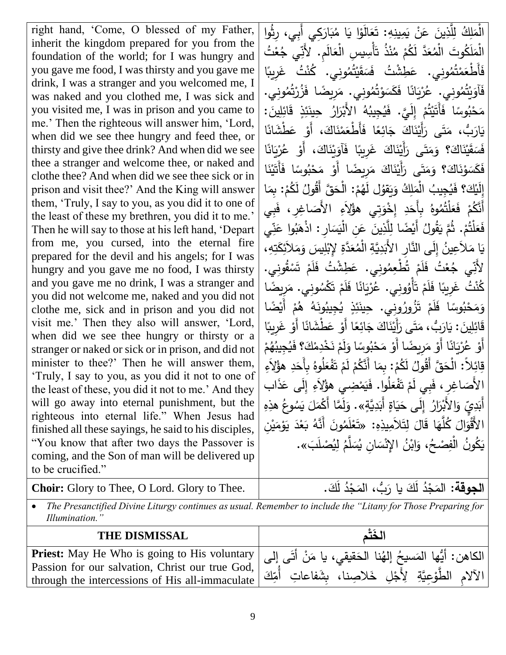right hand, 'Come, O blessed of my Father, inherit the kingdom prepared for you from the foundation of the world; for I was hungry and you gave me food, I was thirsty and you gave me drink, I was a stranger and you welcomed me, I was naked and you clothed me, I was sick and you visited me, I was in prison and you came to me.' Then the righteous will answer him, 'Lord, when did we see thee hungry and feed thee, or thirsty and give thee drink? And when did we see thee a stranger and welcome thee, or naked and clothe thee? And when did we see thee sick or in prison and visit thee?' And the King will answer them, 'Truly, I say to you, as you did it to one of the least of these my brethren, you did it to me.' Then he will say to those at his left hand, 'Depart from me, you cursed, into the eternal fire prepared for the devil and his angels; for I was hungry and you gave me no food, I was thirsty and you gave me no drink, I was a stranger and you did not welcome me, naked and you did not clothe me, sick and in prison and you did not visit me.' Then they also will answer, 'Lord, when did we see thee hungry or thirsty or a stranger or naked or sick or in prison, and did not minister to thee?' Then he will answer them, 'Truly, I say to you, as you did it not to one of the least of these, you did it not to me.' And they will go away into eternal punishment, but the righteous into eternal life." When Jesus had finished all these sayings, he said to his disciples, "You know that after two days the Passover is coming, and the Son of man will be delivered up to be crucified."

**Choir:** Glory to Thee, O Lord. Glory to Thee.

الْمَلِكُ لِلَّذِينَ عَنْ يَمِينِهِ: تَعَالَوْا يَا مُبَارَكِي أَبِي، رِثُوا<br>فَيَرَا الْمَلَاكُ الْمَسَنَّةِ وَيَرْسَفُ الْمَوْا وَيَا مُبَارَكِي أَبِي، رِثُوا .<br>م َ  $\ddot{ }$ ْ َ .<br>ا .<br>-الْمَلَكُوتَ الْمُعَدَّ لَكُمْ مُنْذُ تَأْسِيسِ الْعَالَمِ. لأَنِّي جُعْتُ<br>َأَخْفُرُونَ الْمُعَدَّ لَكُمْ مُنْذُ تَأْسِيسِ الْعَالَمِ. لأَنِّي جُعْتُ **ء** <u>َ</u> مُ <sup>م</sup>ُنْتُ غَرِيبًا<br>نفسه ونِي. عَطِشْتُ فَسَقَيْتُمُونِي. كُلُّفَيْتُمُونِي. كُلُّفَيْتُمُونِي. كُلُّفْضَا بِيَّا بِيَّا بِيِّنْ بِيِّن<br>مُسْتَقَدِّمَتْ أَيْضًا بِيَّا بِيَّا بِيَّا بِيِّنْ بِيِّنْ بِيِّنْ بِيِّنْ بِيِّنْ بِيِّنْ بِيِّنْ بِيِّنْ ب **ٔ** .<br>م ـ<br>ـ <u>م</u> فمنم<br>ً ءَ<br>گما ت ْ م أَطْعَا َ ف وِني. ُ ُم ت ُر َز ًضا ف ِري وِني. م ُ ُم ت و َس َك ا ف ً ان ي ُر وِني. ع ُ ُم ت ي َ آو َ ف .<br>ب ا<br>ا ْ ـ<br>با .<br>ا .<br>ب ֧<u>֡</u> مَحْبُوسًا فَأَتَيْتُمْ إِلَيَّ. فَيُجِيبُهُ الأَبْرَارُ حِينَئِذٍ قَائِلِينَ:<br>. .<br>-<u>ة</u> َنا<br>با َ <u>ہ</u> َ ْ **ٔ** <u>ٔ</u> يَارَبُّ، مَتَى رَأَيْنَاكَ جَائِعًا فَأَطْعَمْنَاكَ، أَوْ عَطْشَانًا<br>مَسَى الْمَسْلَمَةِ ֺ֧<sup>ֺ</sup> .<br>ا ْ <u>م</u> ؛<br>' .<br>تا ا<br>ا ا<br>. َ َ فَسَقَيْنَاكَ؟ وَمَتَى رَأَيْنَاكَ غَرِيبًا فَأَوَيْنَاكَ، أَوْ عُرْيَانًا<br>حَمَّدَ النَّاسُ الْمَسْرِينَ  $\frac{1}{2}$ ا<br>ئە ْ َ َ <u>ا</u> ء<br>ءَ َ .<br>ا ْ الْمُعَامَلُ َ ْ فَكَسَوْنَاكَ؟ وَمَتَى رَأَيْنَاكَ مَرِيضًا أَوْ مَحْبُوسًا فَأَتَيْنَا<br>يَسْمَدُونَا فَيْسَفَسَفَ مَنْ الْمَسْمَعِينَ مَعْنَهُ مِنْ الْمَسْمَعِينَ مَنْ الْمَسْتَارِ الْمَسْتَارِ الْم َ ْ <u>بَ</u> َ ْ ار<br>ءَ ؛<br>' ً<br>ً َ َ **ٔ** َ ؛<br>. ا<br>ا إِلَيْكَ؟ فَيُجِيبُ الْمَلِكُ وَيَقوُل لَهُمْ: الْحَقَّ أَقُولُ لَكُمْ: بِمَا<br>مَمَّةٌ ْ َ ْ ــا<br>ا َ َ أَنَّكُمْ فَعَلْتُمُوهُ بِأَحَدِ إِخْوَتِي هؤُلاَءِ الأَصَاغِرِ، فَبِي<br>َمَنْهُمْ فَعَلْتُمُوهُ بِأَحَدِ إِخْوَتِي هؤُلاَءِ الأَصَاغِرِ، فَبِي َ َ َ َ ْ فَعَلْتُمْ. ثُمَّ يَقُولُ أَيْضًا لِلَّذِينَ عَنِ الْيَسَارِ : اذْهَبُوا عَنِّي ْ ثُمَّ يَقُولُ أَيْضًا لِلَّذِينَ عَنِ الْيَسَارِ : اذْهَبُوا عَذِّ <u>م</u> ى<br>ئا ً<br>ب ء<br>، يَا مَلاَعِينُ إِلَى النَّارِ الأَبَدِيَّةِ الْمُعَدَّةِ لإِبْلِيسَ وَمَلاَئِكَتِهِ،<br>\*\*\* َ َ .<br>. **ء** .<br>ا  $\overline{a}$ لأَنِّي جُعْثُ فَلَمْ تُطْعِمُونِي. عَطِشْتُ فَلَمْ تَسْقُونِي.<br>أَوْسَى جُعْثُ فَلَمْ تُطْعِمُونِي. عَظِشْتُ فَلَمْ تَسْقُونِي. ْ ْ َ <u>م</u> ْ كُنْتُ غَرِيبًا فَلَمْ تَأْوُونِي. عُرْيَانًا فَلَمْ تَكْسُونِي. مَرِيضًا<br>. ً<br>ً مُ َ  $\frac{1}{2}$ .<br>ا <u>َ</u> ْ وَمَحْبُوسًا فَلَمْ تَزُورُونِي. حِينَئِذٍ يُجِيبُونَهُ هُمْ أَيْضًا<br>حَصَدُ اللَّهُ عَنْدُ وَأَوْ اللَّهُ عَنْهُ مَنْ الْمَسْلَمِنَ مَنْ الْمَثَارِ ْ ا<br>ا َ ْ ــ<br>-قَائِلِينَ : يَارَبُّ، مَتَّى رَأَيْنَاكَ جَائِعًا أَوْ عَطْشَانًا أَوْ غَرِيبًا<br>أَسْتَنْسَسَمَّةٍ عَلَيْهِ وَأَيْنَاكَ جَائِعًا أَوْ عَطْشَانًا أَوْ غَرِيبًا <u>م</u> <u>ٔ</u>  $\ddot{\phantom{0}}$ َ **ٔ** َ ا<br>ا <u>ٔ</u> ْ أَوْ عُرْيَانًا أَوْ مَرِيضًا أَوْ مَحْبُوسًا وَلَمْ نَخْدِمْكَ؟ فَيُجِيبُهُمْ<br>. َ َ ْ ء<br>۔ ْ ً<br>ً ؛<br>' ؛<br>' **ٔ** ؛<br>' قِائِلاً: الْحَقَّ أَقُولُ لَكُمْ: بِمَا أَنَّكُمْ لَمْ تَفْعَلُوهُ بِأَحَدِ هؤُلاَءِ َ َ <u>بَ</u>ّ ْ ْ ا<br>ا ْ الأَصَاغِرِ ، فَبِي لَمْ تَفْعَلُوا . فَيَمْضِي هؤُلاَءِ إِلَى عَذَابٍ<br>مَسْتَمَرَّضَ <u>ء</u> ْ  $\ddot{=}$ َ َ <u>بَ</u> ْ أَبَدِيِّ وَالأَبْرَارُ ۚ إِلَى حَيَاةٍ أَبَدِيَّةٍ». وَلَمَّا أَكْمَلَ يَسُوعُ هذِهِ<br>أَبَدِيِّ الأَبْرَارُ .<br>ا َ َ  $\overline{\phantom{a}}$ َ ء<br>ِ الأَقْوَالَ كُلَّهَا قَالَ لِتَلاَمِيذِهِ: «تَعْلَمُونَ أَنَّهُ بَعْدَ يَوْمَيْنِ<br>.  $\overline{\phantom{a}}$ **ٔ** ً<br>ً ؛<br>' ۱. :<br>ا ْ ٔ. .<br>-ْ يَكُونُ الْفِصْحُ، وَابْنُ الإِنْسَانِ يُسَلَّمُ لِيُصْلَبَ». **:** ـا<br>ا ً<br>أ َ

- َ َك ل ُ د ج ب، الم ُّ يا ر َك ل ُ د ج َ الم ْ َ ْ
- $\overline{a}$ .<br>-• *The Presanctified Divine Liturgy continues as usual. Remember to include the "Litany for Those Preparing for Illumination."*

| <b>THE DISMISSAL</b>                                                                                                                                                                                                        | الخَتْم |
|-----------------------------------------------------------------------------------------------------------------------------------------------------------------------------------------------------------------------------|---------|
| الكاهن: أَيُّها المَسيحُ إلهُنا الْحَقيقي، يا مَنْ أَتَى إلى Priest: May He Who is going to His voluntary<br>Passion for our salvation, Christ our true God, الألامِ الطَّوْعِيَّةِ ۖ لِأَجْلِ خَلاصِنا، بِشَفاعاتِ أُمِّكَ |         |